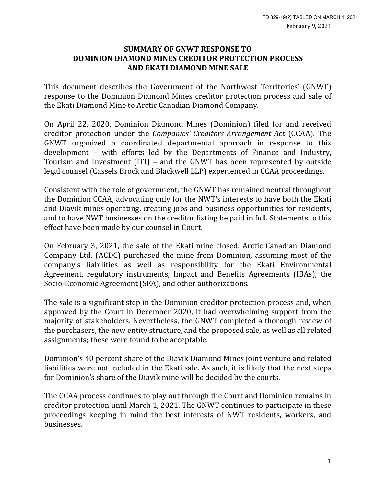#### **SUMMARY OF GNWT RESPONSE TO DOMINION DIAMOND MINES CREDITOR PROTECTION PROCESS AND EKATI DIAMOND MINE SALE**

This document describes the Government of the Northwest Territories' (GNWT) response to the Dominion Diamond Mines creditor protection process and sale of the Ekati Diamond Mine to Arctic Canadian Diamond Company.

On April 22, 2020, Dominion Diamond Mines (Dominion) filed for and received creditor protection under the *Companies' Creditors Arrangement Act* (CCAA). The GNWT organized a coordinated departmental approach in response to this development – with efforts led by the Departments of Finance and Industry, Tourism and Investment (ITI) – and the GNWT has been represented by outside legal counsel (Cassels Brock and Blackwell LLP) experienced in CCAA proceedings.

Consistent with the role of government, the GNWT has remained neutral throughout the Dominion CCAA, advocating only for the NWT's interests to have both the Ekati and Diavik mines operating, creating jobs and business opportunities for residents, and to have NWT businesses on the creditor listing be paid in full. Statements to this effect have been made by our counsel in Court.

On February 3, 2021, the sale of the Ekati mine closed. Arctic Canadian Diamond Company Ltd. (ACDC) purchased the mine from Dominion, assuming most of the company's liabilities as well as responsibility for the Ekati Environmental Agreement, regulatory instruments, Impact and Benefits Agreements (IBAs), the Socio-Economic Agreement (SEA), and other authorizations.

The sale is a significant step in the Dominion creditor protection process and, when approved by the Court in December 2020, it had overwhelming support from the majority of stakeholders. Nevertheless, the GNWT completed a thorough review of the purchasers, the new entity structure, and the proposed sale, as well as all related assignments; these were found to be acceptable.

Dominion's 40 percent share of the Diavik Diamond Mines joint venture and related liabilities were not included in the Ekati sale. As such, it is likely that the next steps for Dominion's share of the Diavik mine will be decided by the courts.

The CCAA process continues to play out through the Court and Dominion remains in creditor protection until March 1, 2021. The GNWT continues to participate in these proceedings keeping in mind the best interests of NWT residents, workers, and businesses.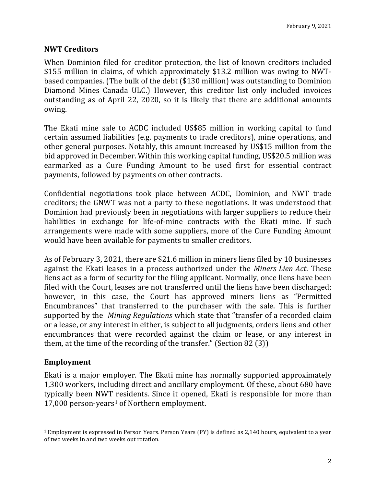## **NWT Creditors**

When Dominion filed for creditor protection, the list of known creditors included \$155 million in claims, of which approximately \$13.2 million was owing to NWTbased companies. (The bulk of the debt (\$130 million) was outstanding to Dominion Diamond Mines Canada ULC.) However, this creditor list only included invoices outstanding as of April 22, 2020, so it is likely that there are additional amounts owing.

The Ekati mine sale to ACDC included US\$85 million in working capital to fund certain assumed liabilities (e.g. payments to trade creditors), mine operations, and other general purposes. Notably, this amount increased by US\$15 million from the bid approved in December. Within this working capital funding, US\$20.5 million was earmarked as a Cure Funding Amount to be used first for essential contract payments, followed by payments on other contracts.

Confidential negotiations took place between ACDC, Dominion, and NWT trade creditors; the GNWT was not a party to these negotiations. It was understood that Dominion had previously been in negotiations with larger suppliers to reduce their liabilities in exchange for life-of-mine contracts with the Ekati mine. If such arrangements were made with some suppliers, more of the Cure Funding Amount would have been available for payments to smaller creditors.

As of February 3, 2021, there are \$21.6 million in miners liens filed by 10 businesses against the Ekati leases in a process authorized under the *Miners Lien Act*. These liens act as a form of security for the filing applicant. Normally, once liens have been filed with the Court, leases are not transferred until the liens have been discharged; however, in this case, the Court has approved miners liens as "Permitted Encumbrances" that transferred to the purchaser with the sale. This is further supported by the *Mining Regulations* which state that "transfer of a recorded claim or a lease, or any interest in either, is subject to all judgments, orders liens and other encumbrances that were recorded against the claim or lease, or any interest in them, at the time of the recording of the transfer." (Section 82 (3))

#### **Employment**

Ekati is a major employer. The Ekati mine has normally supported approximately 1,300 workers, including direct and ancillary employment. Of these, about 680 have typically been NWT residents. Since it opened, Ekati is responsible for more than [1](#page-1-0)7,000 person-years<sup>1</sup> of Northern employment.

<span id="page-1-0"></span> <sup>1</sup> Employment is expressed in Person Years. Person Years (PY) is defined as 2,140 hours, equivalent to a year of two weeks in and two weeks out rotation.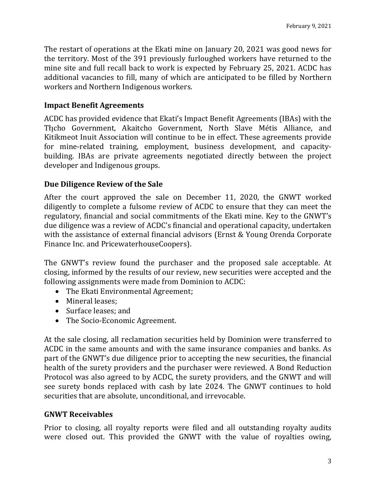The restart of operations at the Ekati mine on January 20, 2021 was good news for the territory. Most of the 391 previously furloughed workers have returned to the mine site and full recall back to work is expected by February 25, 2021. ACDC has additional vacancies to fill, many of which are anticipated to be filled by Northern workers and Northern Indigenous workers.

## **Impact Benefit Agreements**

ACDC has provided evidence that Ekati's Impact Benefit Agreements (IBAs) with the Thicho Government, Akaitcho Government, North Slave Métis Alliance, and Kitikmeot Inuit Association will continue to be in effect. These agreements provide for mine-related training, employment, business development, and capacitybuilding. IBAs are private agreements negotiated directly between the project developer and Indigenous groups.

## **Due Diligence Review of the Sale**

After the court approved the sale on December 11, 2020, the GNWT worked diligently to complete a fulsome review of ACDC to ensure that they can meet the regulatory, financial and social commitments of the Ekati mine. Key to the GNWT's due diligence was a review of ACDC's financial and operational capacity, undertaken with the assistance of external financial advisors (Ernst & Young Orenda Corporate Finance Inc. and PricewaterhouseCoopers).

The GNWT's review found the purchaser and the proposed sale acceptable. At closing, informed by the results of our review, new securities were accepted and the following assignments were made from Dominion to ACDC:

- The Ekati Environmental Agreement;
- Mineral leases;
- Surface leases; and
- The Socio-Economic Agreement.

At the sale closing, all reclamation securities held by Dominion were transferred to ACDC in the same amounts and with the same insurance companies and banks. As part of the GNWT's due diligence prior to accepting the new securities, the financial health of the surety providers and the purchaser were reviewed. A Bond Reduction Protocol was also agreed to by ACDC, the surety providers, and the GNWT and will see surety bonds replaced with cash by late 2024. The GNWT continues to hold securities that are absolute, unconditional, and irrevocable.

# **GNWT Receivables**

Prior to closing, all royalty reports were filed and all outstanding royalty audits were closed out. This provided the GNWT with the value of royalties owing,